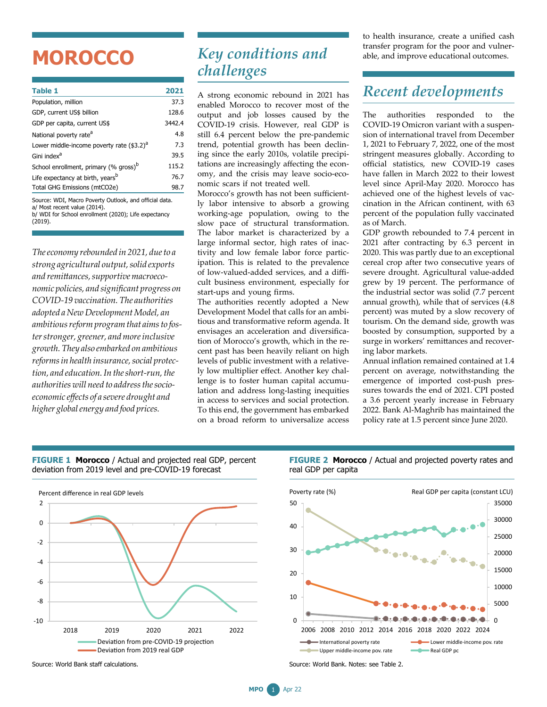## **MOROCCO**

| <b>Table 1</b>                                    | 2021   |
|---------------------------------------------------|--------|
| Population, million                               | 37.3   |
| GDP, current US\$ billion                         | 128.6  |
| GDP per capita, current US\$                      | 3442.4 |
| National poverty rate <sup>a</sup>                | 4.8    |
| Lower middle-income poverty rate $(3.2)^{a}$      | 7.3    |
| Gini index <sup>a</sup>                           | 39.5   |
| School enrollment, primary (% gross) <sup>b</sup> | 115.2  |
| Life expectancy at birth, years <sup>b</sup>      | 76.7   |
| Total GHG Emissions (mtCO2e)                      | 98.7   |
|                                                   |        |

Source: WDI, Macro Poverty Outlook, and official data. a/ Most recent value (2014).

b/ WDI for School enrollment (2020); Life expectancy

(2019).

*The economy rebounded in* 2021, due to a *strong agricultural output,solid exports and remittances,supportivemacroeconomic policies, and significant progress on COVID-19 vaccination. The authorities adopted aNewDevelopmentModel, an ambitiousreformprogramthat aimsto fosterstronger, greener, andmoreinclusive growth.They also embarked on ambitious reformsin health insurance,social protection, and education.In theshort-run,the authorities will need to addressthesocioeconomic effects of a severe drought and higher globalenergy and food prices.*

## *Key conditions and challenges*

A strong economic rebound in 2021 has enabled Morocco to recover most of the output and job losses caused by the COVID-19 crisis. However, real GDP is still 6.4 percent below the pre-pandemic trend, potential growth has been declining since the early 2010s, volatile precipitations are increasingly affecting the economy, and the crisis may leave socio-economic scars if not treated well.

Morocco's growth has not been sufficiently labor intensive to absorb a growing working-age population, owing to the slow pace of structural transformation. The labor market is characterized by a large informal sector, high rates of inactivity and low female labor force participation. This is related to the prevalence of low-valued-added services, and a difficult business environment, especially for start-ups and young firms.

The authorities recently adopted a New Development Model that calls for an ambitious and transformative reform agenda. It envisages an acceleration and diversification of Morocco's growth, which in the recent past has been heavily reliant on high levels of public investment with a relatively low multiplier effect. Another key challenge is to foster human capital accumulation and address long-lasting inequities in access to services and social protection. To this end, the government has embarked on a broad reform to universalize access to health insurance, create a unified cash transfer program for the poor and vulnerable, and improve educational outcomes.

## *Recent developments*

The authorities responded to the COVID-19 Omicron variant with a suspension of international travel from December 1, 2021 to February 7, 2022, one of the most stringent measures globally. According to official statistics, new COVID-19 cases have fallen in March 2022 to their lowest level since April-May 2020. Morocco has achieved one of the highest levels of vaccination in the African continent, with 63 percent of the population fully vaccinated as of March.

GDP growth rebounded to 7.4 percent in 2021 after contracting by 6.3 percent in 2020. This was partly due to an exceptional cereal crop after two consecutive years of severe drought. Agricultural value-added grew by 19 percent. The performance of the industrial sector was solid (7.7 percent annual growth), while that of services (4.8 percent) was muted by a slow recovery of tourism. On the demand side, growth was boosted by consumption, supported by a surge in workers' remittances and recovering labor markets.

Annual inflation remained contained at 1.4 percent on average, notwithstanding the emergence of imported cost-push pressures towards the end of 2021. CPI posted a 3.6 percent yearly increase in February 2022. Bank Al-Maghrib has maintained the policy rate at 1.5 percent since June 2020.



Source: World Bank staff calculations.

**FIGURE 1 Morocco** / Actual and projected real GDP, percent deviation from 2019 level and pre-COVID-19 forecast

**FIGURE 2 Morocco** / Actual and projected poverty rates and real GDP per capita



Source: World Bank. Notes: see Table 2.